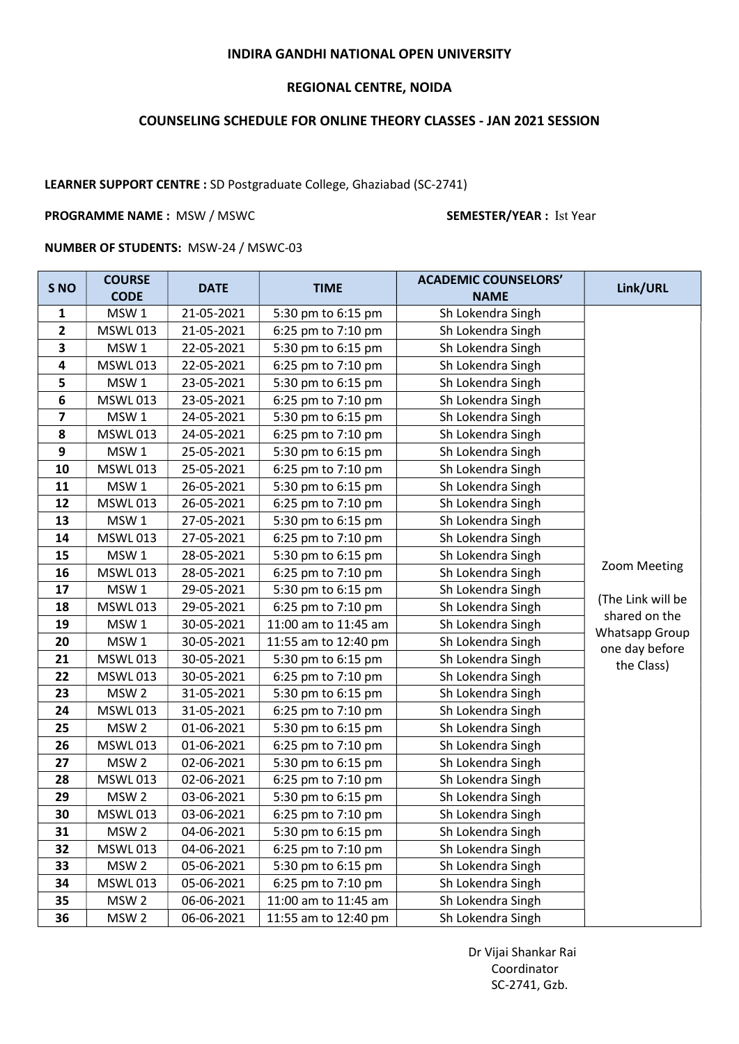## INDIRA GANDHI NATIONAL OPEN UNIVERSITY

## REGIONAL CENTRE, NOIDA

# COUNSELING SCHEDULE FOR ONLINE THEORY CLASSES - JAN 2021 SESSION

# LEARNER SUPPORT CENTRE : SD Postgraduate College, Ghaziabad (SC-2741)

### PROGRAMME NAME : MSW / MSWC SEMESTER/YEAR : Ist Year

### NUMBER OF STUDENTS: MSW-24 / MSWC-03

| S <sub>NO</sub>         | <b>COURSE</b><br><b>CODE</b> | <b>DATE</b> | <b>TIME</b>          | <b>ACADEMIC COUNSELORS'</b><br><b>NAME</b> | Link/URL                                                                                                    |
|-------------------------|------------------------------|-------------|----------------------|--------------------------------------------|-------------------------------------------------------------------------------------------------------------|
| $\mathbf{1}$            | MSW1                         | 21-05-2021  | 5:30 pm to 6:15 pm   | Sh Lokendra Singh                          |                                                                                                             |
| $\mathbf{2}$            | <b>MSWL013</b>               | 21-05-2021  | 6:25 pm to 7:10 pm   | Sh Lokendra Singh                          |                                                                                                             |
| 3                       | MSW1                         | 22-05-2021  | 5:30 pm to 6:15 pm   | Sh Lokendra Singh                          |                                                                                                             |
| 4                       | <b>MSWL013</b>               | 22-05-2021  | 6:25 pm to 7:10 pm   | Sh Lokendra Singh                          |                                                                                                             |
| 5                       | MSW1                         | 23-05-2021  | 5:30 pm to 6:15 pm   | Sh Lokendra Singh                          |                                                                                                             |
| $6\phantom{1}$          | <b>MSWL013</b>               | 23-05-2021  | 6:25 pm to 7:10 pm   | Sh Lokendra Singh                          |                                                                                                             |
| $\overline{\mathbf{z}}$ | MSW1                         | 24-05-2021  | 5:30 pm to 6:15 pm   | Sh Lokendra Singh                          |                                                                                                             |
| 8                       | <b>MSWL013</b>               | 24-05-2021  | 6:25 pm to 7:10 pm   | Sh Lokendra Singh                          |                                                                                                             |
| 9                       | MSW1                         | 25-05-2021  | 5:30 pm to 6:15 pm   | Sh Lokendra Singh                          |                                                                                                             |
| 10                      | <b>MSWL013</b>               | 25-05-2021  | 6:25 pm to 7:10 pm   | Sh Lokendra Singh                          |                                                                                                             |
| 11                      | MSW1                         | 26-05-2021  | 5:30 pm to 6:15 pm   | Sh Lokendra Singh                          |                                                                                                             |
| 12                      | <b>MSWL013</b>               | 26-05-2021  | 6:25 pm to 7:10 pm   | Sh Lokendra Singh                          |                                                                                                             |
| 13                      | MSW1                         | 27-05-2021  | 5:30 pm to 6:15 pm   | Sh Lokendra Singh                          | Zoom Meeting<br>(The Link will be<br>shared on the<br><b>Whatsapp Group</b><br>one day before<br>the Class) |
| 14                      | <b>MSWL013</b>               | 27-05-2021  | 6:25 pm to 7:10 pm   | Sh Lokendra Singh                          |                                                                                                             |
| 15                      | MSW1                         | 28-05-2021  | 5:30 pm to 6:15 pm   | Sh Lokendra Singh                          |                                                                                                             |
| 16                      | <b>MSWL013</b>               | 28-05-2021  | 6:25 pm to 7:10 pm   | Sh Lokendra Singh                          |                                                                                                             |
| 17                      | MSW1                         | 29-05-2021  | 5:30 pm to 6:15 pm   | Sh Lokendra Singh                          |                                                                                                             |
| 18                      | <b>MSWL013</b>               | 29-05-2021  | 6:25 pm to 7:10 pm   | Sh Lokendra Singh                          |                                                                                                             |
| 19                      | MSW1                         | 30-05-2021  | 11:00 am to 11:45 am | Sh Lokendra Singh                          |                                                                                                             |
| 20                      | MSW1                         | 30-05-2021  | 11:55 am to 12:40 pm | Sh Lokendra Singh                          |                                                                                                             |
| 21                      | <b>MSWL013</b>               | 30-05-2021  | 5:30 pm to 6:15 pm   | Sh Lokendra Singh                          |                                                                                                             |
| 22                      | <b>MSWL013</b>               | 30-05-2021  | 6:25 pm to 7:10 pm   | Sh Lokendra Singh                          |                                                                                                             |
| 23                      | MSW <sub>2</sub>             | 31-05-2021  | 5:30 pm to 6:15 pm   | Sh Lokendra Singh                          |                                                                                                             |
| 24                      | <b>MSWL013</b>               | 31-05-2021  | 6:25 pm to 7:10 pm   | Sh Lokendra Singh                          |                                                                                                             |
| 25                      | MSW <sub>2</sub>             | 01-06-2021  | 5:30 pm to 6:15 pm   | Sh Lokendra Singh                          |                                                                                                             |
| 26                      | <b>MSWL013</b>               | 01-06-2021  | 6:25 pm to 7:10 pm   | Sh Lokendra Singh                          |                                                                                                             |
| 27                      | MSW <sub>2</sub>             | 02-06-2021  | 5:30 pm to 6:15 pm   | Sh Lokendra Singh                          |                                                                                                             |
| 28                      | <b>MSWL013</b>               | 02-06-2021  | 6:25 pm to 7:10 pm   | Sh Lokendra Singh                          |                                                                                                             |
| 29                      | MSW <sub>2</sub>             | 03-06-2021  | 5:30 pm to 6:15 pm   | Sh Lokendra Singh                          |                                                                                                             |
| 30                      | <b>MSWL013</b>               | 03-06-2021  | 6:25 pm to 7:10 pm   | Sh Lokendra Singh                          |                                                                                                             |
| 31                      | MSW <sub>2</sub>             | 04-06-2021  | 5:30 pm to 6:15 pm   | Sh Lokendra Singh                          |                                                                                                             |
| 32                      | <b>MSWL013</b>               | 04-06-2021  | 6:25 pm to 7:10 pm   | Sh Lokendra Singh                          |                                                                                                             |
| 33                      | MSW <sub>2</sub>             | 05-06-2021  | 5:30 pm to 6:15 pm   | Sh Lokendra Singh                          |                                                                                                             |
| 34                      | <b>MSWL013</b>               | 05-06-2021  | 6:25 pm to 7:10 pm   | Sh Lokendra Singh                          |                                                                                                             |
| 35                      | MSW <sub>2</sub>             | 06-06-2021  | 11:00 am to 11:45 am | Sh Lokendra Singh                          |                                                                                                             |
| 36                      | MSW <sub>2</sub>             | 06-06-2021  | 11:55 am to 12:40 pm | Sh Lokendra Singh                          |                                                                                                             |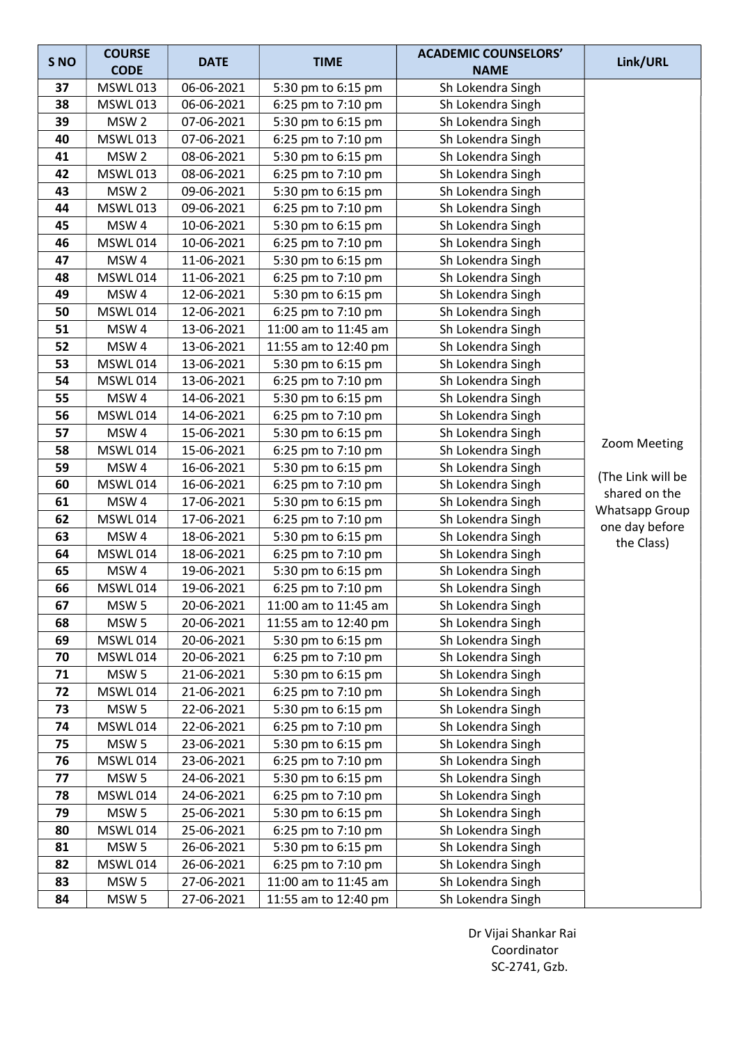| S <sub>NO</sub> | <b>COURSE</b>    | <b>DATE</b> | <b>TIME</b>          | <b>ACADEMIC COUNSELORS'</b> | Link/URL          |
|-----------------|------------------|-------------|----------------------|-----------------------------|-------------------|
|                 | <b>CODE</b>      |             |                      | <b>NAME</b>                 |                   |
| 37              | <b>MSWL013</b>   | 06-06-2021  | 5:30 pm to 6:15 pm   | Sh Lokendra Singh           |                   |
| 38              | <b>MSWL013</b>   | 06-06-2021  | 6:25 pm to 7:10 pm   | Sh Lokendra Singh           |                   |
| 39              | MSW <sub>2</sub> | 07-06-2021  | 5:30 pm to 6:15 pm   | Sh Lokendra Singh           |                   |
| 40              | <b>MSWL013</b>   | 07-06-2021  | 6:25 pm to 7:10 pm   | Sh Lokendra Singh           |                   |
| 41              | MSW <sub>2</sub> | 08-06-2021  | 5:30 pm to 6:15 pm   | Sh Lokendra Singh           |                   |
| 42              | <b>MSWL013</b>   | 08-06-2021  | 6:25 pm to 7:10 pm   | Sh Lokendra Singh           |                   |
| 43              | MSW <sub>2</sub> | 09-06-2021  | 5:30 pm to 6:15 pm   | Sh Lokendra Singh           |                   |
| 44              | <b>MSWL013</b>   | 09-06-2021  | 6:25 pm to 7:10 pm   | Sh Lokendra Singh           |                   |
| 45              | MSW4             | 10-06-2021  | 5:30 pm to 6:15 pm   | Sh Lokendra Singh           |                   |
| 46              | <b>MSWL014</b>   | 10-06-2021  | 6:25 pm to 7:10 pm   | Sh Lokendra Singh           |                   |
| 47              | MSW4             | 11-06-2021  | 5:30 pm to 6:15 pm   | Sh Lokendra Singh           |                   |
| 48              | <b>MSWL014</b>   | 11-06-2021  | 6:25 pm to 7:10 pm   | Sh Lokendra Singh           |                   |
| 49              | MSW4             | 12-06-2021  | 5:30 pm to 6:15 pm   | Sh Lokendra Singh           |                   |
| 50              | <b>MSWL014</b>   | 12-06-2021  | 6:25 pm to 7:10 pm   | Sh Lokendra Singh           |                   |
| 51              | MSW4             | 13-06-2021  | 11:00 am to 11:45 am | Sh Lokendra Singh           |                   |
| 52              | MSW4             | 13-06-2021  | 11:55 am to 12:40 pm | Sh Lokendra Singh           |                   |
| 53              | <b>MSWL014</b>   | 13-06-2021  | 5:30 pm to 6:15 pm   | Sh Lokendra Singh           |                   |
| 54              | <b>MSWL014</b>   | 13-06-2021  | 6:25 pm to 7:10 pm   | Sh Lokendra Singh           |                   |
| 55              | MSW4             | 14-06-2021  | 5:30 pm to 6:15 pm   | Sh Lokendra Singh           |                   |
| 56              | <b>MSWL014</b>   | 14-06-2021  | 6:25 pm to 7:10 pm   | Sh Lokendra Singh           |                   |
| 57              | MSW4             | 15-06-2021  | 5:30 pm to 6:15 pm   | Sh Lokendra Singh           |                   |
| 58              | <b>MSWL014</b>   | 15-06-2021  | 6:25 pm to 7:10 pm   | Sh Lokendra Singh           | Zoom Meeting      |
| 59              | MSW4             | 16-06-2021  | 5:30 pm to 6:15 pm   | Sh Lokendra Singh           | (The Link will be |
| 60              | <b>MSWL014</b>   | 16-06-2021  | 6:25 pm to 7:10 pm   | Sh Lokendra Singh           | shared on the     |
| 61              | MSW4             | 17-06-2021  | 5:30 pm to 6:15 pm   | Sh Lokendra Singh           | Whatsapp Group    |
| 62              | <b>MSWL014</b>   | 17-06-2021  | 6:25 pm to 7:10 pm   | Sh Lokendra Singh           | one day before    |
| 63              | MSW4             | 18-06-2021  | 5:30 pm to 6:15 pm   | Sh Lokendra Singh           | the Class)        |
| 64              | <b>MSWL014</b>   | 18-06-2021  | 6:25 pm to 7:10 pm   | Sh Lokendra Singh           |                   |
| 65              | MSW4             | 19-06-2021  | 5:30 pm to 6:15 pm   | Sh Lokendra Singh           |                   |
| 66              | <b>MSWL014</b>   | 19-06-2021  | 6:25 pm to 7:10 pm   | Sh Lokendra Singh           |                   |
| 67              | MSW 5            | 20-06-2021  | 11:00 am to 11:45 am | Sh Lokendra Singh           |                   |
| 68              | MSW <sub>5</sub> | 20-06-2021  | 11:55 am to 12:40 pm | Sh Lokendra Singh           |                   |
| 69              | <b>MSWL014</b>   | 20-06-2021  | 5:30 pm to 6:15 pm   | Sh Lokendra Singh           |                   |
| 70              | <b>MSWL014</b>   | 20-06-2021  | 6:25 pm to 7:10 pm   | Sh Lokendra Singh           |                   |
| 71              | MSW <sub>5</sub> | 21-06-2021  | 5:30 pm to 6:15 pm   | Sh Lokendra Singh           |                   |
| 72              | <b>MSWL014</b>   | 21-06-2021  | 6:25 pm to 7:10 pm   | Sh Lokendra Singh           |                   |
| 73              | MSW <sub>5</sub> | 22-06-2021  | 5:30 pm to 6:15 pm   | Sh Lokendra Singh           |                   |
| 74              | <b>MSWL014</b>   | 22-06-2021  | 6:25 pm to 7:10 pm   | Sh Lokendra Singh           |                   |
| 75              | MSW <sub>5</sub> | 23-06-2021  | 5:30 pm to 6:15 pm   | Sh Lokendra Singh           |                   |
| 76              | <b>MSWL014</b>   | 23-06-2021  | 6:25 pm to 7:10 pm   | Sh Lokendra Singh           |                   |
| 77              | MSW <sub>5</sub> | 24-06-2021  | 5:30 pm to 6:15 pm   | Sh Lokendra Singh           |                   |
| 78              | <b>MSWL014</b>   | 24-06-2021  | 6:25 pm to 7:10 pm   | Sh Lokendra Singh           |                   |
| 79              | MSW <sub>5</sub> | 25-06-2021  | 5:30 pm to 6:15 pm   | Sh Lokendra Singh           |                   |
| 80              | <b>MSWL014</b>   | 25-06-2021  | 6:25 pm to 7:10 pm   | Sh Lokendra Singh           |                   |
| 81              | MSW <sub>5</sub> | 26-06-2021  | 5:30 pm to 6:15 pm   | Sh Lokendra Singh           |                   |
| 82              | <b>MSWL014</b>   | 26-06-2021  | 6:25 pm to 7:10 pm   | Sh Lokendra Singh           |                   |
| 83              | MSW <sub>5</sub> | 27-06-2021  | 11:00 am to 11:45 am | Sh Lokendra Singh           |                   |
| 84              | MSW <sub>5</sub> | 27-06-2021  | 11:55 am to 12:40 pm | Sh Lokendra Singh           |                   |

 Dr Vijai Shankar Rai Coordinator SC-2741, Gzb.